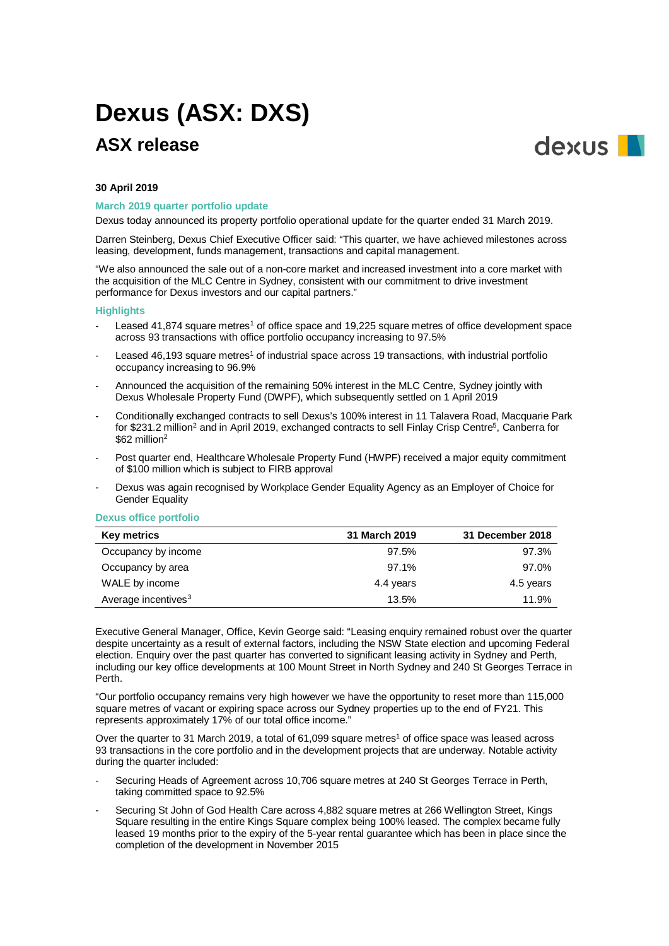# **Dexus (ASX: DXS)**

# **ASX release**



#### **30 April 2019**

### **March 2019 quarter portfolio update**

Dexus today announced its property portfolio operational update for the quarter ended 31 March 2019.

Darren Steinberg, Dexus Chief Executive Officer said: "This quarter, we have achieved milestones across leasing, development, funds management, transactions and capital management.

"We also announced the sale out of a non-core market and increased investment into a core market with the acquisition of the MLC Centre in Sydney, consistent with our commitment to drive investment performance for Dexus investors and our capital partners."

#### **Highlights**

- Leased 4[1](#page-2-0),874 square metres<sup>1</sup> of office space and 19,225 square metres of office development space across 93 transactions with office portfolio occupancy increasing to 97.5%
- Leased 46,193 square metres<sup>1</sup> of industrial space across 19 transactions, with industrial portfolio occupancy increasing to 96.9%
- Announced the acquisition of the remaining 50% interest in the MLC Centre, Sydney jointly with Dexus Wholesale Property Fund (DWPF), which subsequently settled on 1 April 2019
- Conditionally exchanged contracts to sell Dexus's 100% interest in 11 Talavera Road, Macquarie Park for \$[2](#page-2-1)31.2 million<sup>2</sup> and in April 2019, exchanged contracts to sell Finlay Crisp Centre<sup>5</sup>, Canberra for \$62 million<sup>2</sup>
- Post quarter end, Healthcare Wholesale Property Fund (HWPF) received a major equity commitment of \$100 million which is subject to FIRB approval
- Dexus was again recognised by Workplace Gender Equality Agency as an Employer of Choice for Gender Equality

#### **Dexus office portfolio**

| <b>Key metrics</b>              | 31 March 2019 | 31 December 2018 |
|---------------------------------|---------------|------------------|
| Occupancy by income             | 97.5%         | 97.3%            |
| Occupancy by area               | 97.1%         | 97.0%            |
| WALE by income                  | 4.4 years     | 4.5 years        |
| Average incentives <sup>3</sup> | 13.5%         | 11.9%            |

Executive General Manager, Office, Kevin George said: "Leasing enquiry remained robust over the quarter despite uncertainty as a result of external factors, including the NSW State election and upcoming Federal election. Enquiry over the past quarter has converted to significant leasing activity in Sydney and Perth, including our key office developments at 100 Mount Street in North Sydney and 240 St Georges Terrace in Perth.

"Our portfolio occupancy remains very high however we have the opportunity to reset more than 115,000 square metres of vacant or expiring space across our Sydney properties up to the end of FY21. This represents approximately 17% of our total office income."

Over the quarter to 31 March 2019, a total of 61,099 square metres<sup>1</sup> of office space was leased across 93 transactions in the core portfolio and in the development projects that are underway. Notable activity during the quarter included:

- Securing Heads of Agreement across 10,706 square metres at 240 St Georges Terrace in Perth, taking committed space to 92.5%
- Securing St John of God Health Care across 4,882 square metres at 266 Wellington Street, Kings Square resulting in the entire Kings Square complex being 100% leased. The complex became fully leased 19 months prior to the expiry of the 5-year rental guarantee which has been in place since the completion of the development in November 2015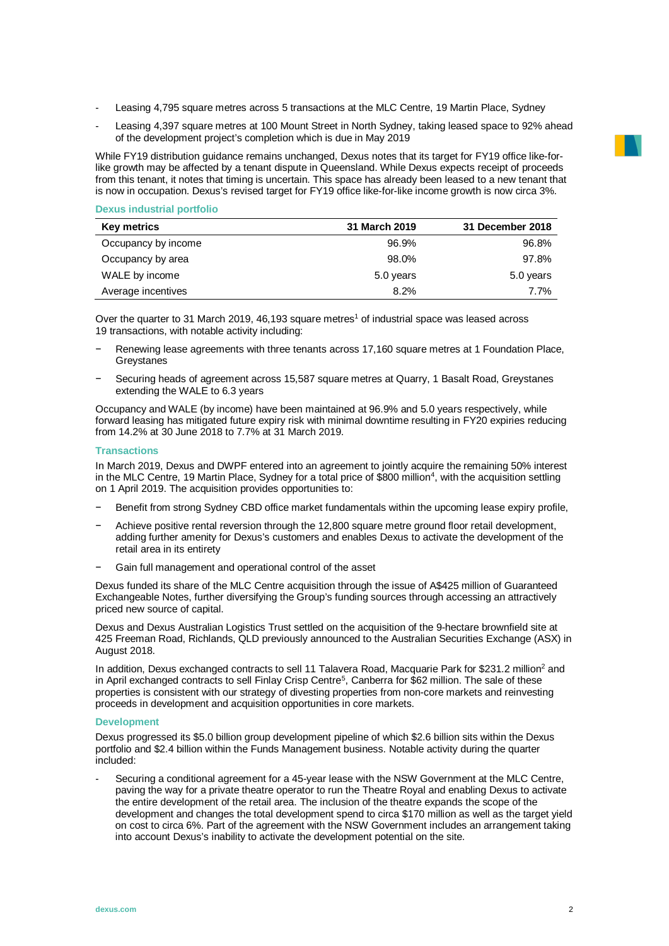- Leasing 4,795 square metres across 5 transactions at the MLC Centre, 19 Martin Place, Sydney
- Leasing 4,397 square metres at 100 Mount Street in North Sydney, taking leased space to 92% ahead of the development project's completion which is due in May 2019

While FY19 distribution guidance remains unchanged, Dexus notes that its target for FY19 office like-forlike growth may be affected by a tenant dispute in Queensland. While Dexus expects receipt of proceeds from this tenant, it notes that timing is uncertain. This space has already been leased to a new tenant that is now in occupation. Dexus's revised target for FY19 office like-for-like income growth is now circa 3%.

#### **Dexus industrial portfolio**

| Key metrics         | 31 March 2019 | 31 December 2018 |
|---------------------|---------------|------------------|
| Occupancy by income | 96.9%         | 96.8%            |
| Occupancy by area   | 98.0%         | 97.8%            |
| WALE by income      | 5.0 years     | 5.0 years        |
| Average incentives  | 8.2%          | 7.7%             |

Over the quarter to 31 March 2019, 46,193 square metres<sup>1</sup> of industrial space was leased across 19 transactions, with notable activity including:

- Renewing lease agreements with three tenants across 17,160 square metres at 1 Foundation Place, **Grevstanes**
- − Securing heads of agreement across 15,587 square metres at Quarry, 1 Basalt Road, Greystanes extending the WALE to 6.3 years

Occupancy and WALE (by income) have been maintained at 96.9% and 5.0 years respectively, while forward leasing has mitigated future expiry risk with minimal downtime resulting in FY20 expiries reducing from 14.2% at 30 June 2018 to 7.7% at 31 March 2019.

# **Transactions**

In March 2019, Dexus and DWPF entered into an agreement to jointly acquire the remaining 50% interest in the MLC Centre, 19 Martin Place, Sydney for a total price of \$800 million<sup>4</sup>, with the acquisition settling on 1 April 2019. The acquisition provides opportunities to:

- Benefit from strong Sydney CBD office market fundamentals within the upcoming lease expiry profile,
- − Achieve positive rental reversion through the 12,800 square metre ground floor retail development, adding further amenity for Dexus's customers and enables Dexus to activate the development of the retail area in its entirety
- Gain full management and operational control of the asset

Dexus funded its share of the MLC Centre acquisition through the issue of A\$425 million of Guaranteed Exchangeable Notes, further diversifying the Group's funding sources through accessing an attractively priced new source of capital.

Dexus and Dexus Australian Logistics Trust settled on the acquisition of the 9-hectare brownfield site at 425 Freeman Road, Richlands, QLD previously announced to the Australian Securities Exchange (ASX) in August 2018.

In addition, Dexus exchanged contracts to sell 11 Talavera Road, Macquarie Park for \$231.2 million<sup>2</sup> and in April exchanged contracts to sell Finlay Crisp Centre<sup>[5](#page-2-4)</sup>, Canberra for \$62 million. The sale of these properties is consistent with our strategy of divesting properties from non-core markets and reinvesting proceeds in development and acquisition opportunities in core markets.

#### **Development**

Dexus progressed its \$5.0 billion group development pipeline of which \$2.6 billion sits within the Dexus portfolio and \$2.4 billion within the Funds Management business. Notable activity during the quarter included:

Securing a conditional agreement for a 45-year lease with the NSW Government at the MLC Centre, paving the way for a private theatre operator to run the Theatre Royal and enabling Dexus to activate the entire development of the retail area. The inclusion of the theatre expands the scope of the development and changes the total development spend to circa \$170 million as well as the target yield on cost to circa 6%. Part of the agreement with the NSW Government includes an arrangement taking into account Dexus's inability to activate the development potential on the site.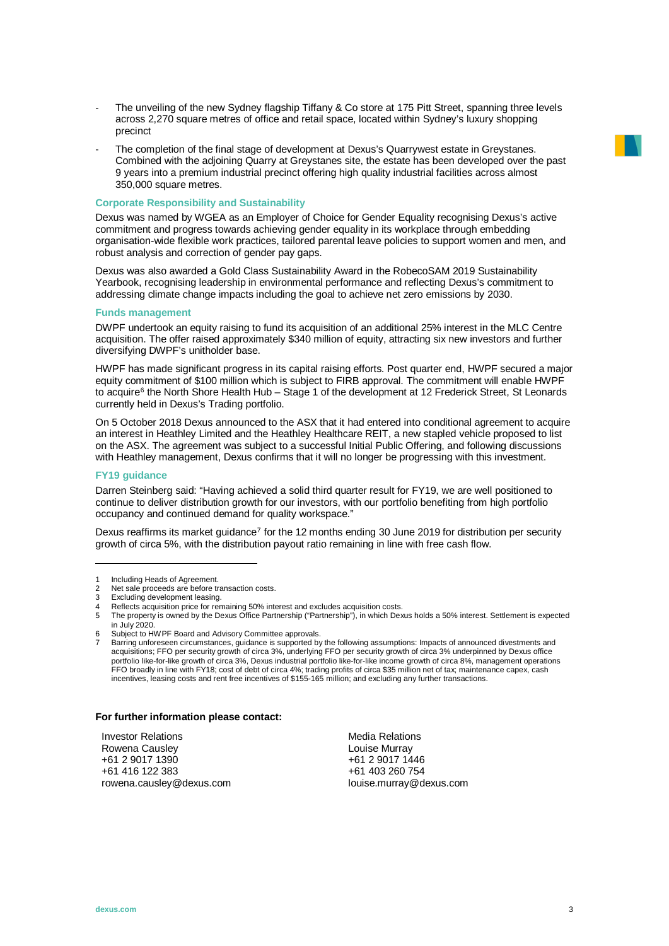- The unveiling of the new Sydney flagship Tiffany & Co store at 175 Pitt Street, spanning three levels across 2,270 square metres of office and retail space, located within Sydney's luxury shopping precinct
- The completion of the final stage of development at Dexus's Quarrywest estate in Greystanes. Combined with the adjoining Quarry at Greystanes site, the estate has been developed over the past 9 years into a premium industrial precinct offering high quality industrial facilities across almost 350,000 square metres.

# **Corporate Responsibility and Sustainability**

Dexus was named by WGEA as an Employer of Choice for Gender Equality recognising Dexus's active commitment and progress towards achieving gender equality in its workplace through embedding organisation-wide flexible work practices, tailored parental leave policies to support women and men, and robust analysis and correction of gender pay gaps.

Dexus was also awarded a Gold Class Sustainability Award in the RobecoSAM 2019 Sustainability Yearbook, recognising leadership in environmental performance and reflecting Dexus's commitment to addressing climate change impacts including the goal to achieve net zero emissions by 2030.

#### **Funds management**

DWPF undertook an equity raising to fund its acquisition of an additional 25% interest in the MLC Centre acquisition. The offer raised approximately \$340 million of equity, attracting six new investors and further diversifying DWPF's unitholder base.

HWPF has made significant progress in its capital raising efforts. Post quarter end, HWPF secured a major equity commitment of \$100 million which is subject to FIRB approval. The commitment will enable HWPF to acquire<sup>[6](#page-2-5)</sup> the North Shore Health Hub – Stage 1 of the development at 12 Frederick Street, St Leonards currently held in Dexus's Trading portfolio.

On 5 October 2018 Dexus announced to the ASX that it had entered into conditional agreement to acquire an interest in Heathley Limited and the Heathley Healthcare REIT, a new stapled vehicle proposed to list on the ASX. The agreement was subject to a successful Initial Public Offering, and following discussions with Heathley management, Dexus confirms that it will no longer be progressing with this investment.

#### **FY19 guidance**

-

Darren Steinberg said: "Having achieved a solid third quarter result for FY19, we are well positioned to continue to deliver distribution growth for our investors, with our portfolio benefiting from high portfolio occupancy and continued demand for quality workspace."

Dexus reaffirms its market guidance<sup>[7](#page-2-6)</sup> for the 12 months ending 30 June 2019 for distribution per security growth of circa 5%, with the distribution payout ratio remaining in line with free cash flow.

#### **For further information please contact:**

Investor Relations Rowena Causley +61 2 9017 1390 +61 416 122 383 rowena.causley@dexus.com

Media Relations Louise Murray +61 2 9017 1446 +61 403 260 754 louise.murray@dexus.com

<span id="page-2-0"></span><sup>1</sup> Including Heads of Agreement.<br>2 Net sale proceeds are before the

<span id="page-2-2"></span><span id="page-2-1"></span><sup>2</sup> Net sale proceeds are before transaction costs.<br>3 Excluding development leasing

<sup>3</sup> Excluding development leasing.

<sup>4</sup> Reflects acquisition price for remaining 50% interest and excludes acquisition costs.

<span id="page-2-4"></span><span id="page-2-3"></span><sup>5</sup> The property is owned by the Dexus Office Partnership ("Partnership"), in which Dexus holds a 50% interest. Settlement is expected in July 2020.

<span id="page-2-6"></span><span id="page-2-5"></span><sup>6.</sup> Subject to HWPF Board and Advisory Committee approvals.

Barring unforeseen circumstances, guidance is supported by the following assumptions: Impacts of announced divestments and acquisitions; FFO per security growth of circa 3%, underlying FFO per security growth of circa 3% underpinned by Dexus office portfolio like-for-like growth of circa 3%, Dexus industrial portfolio like-for-like income growth of circa 8%, management operations<br>FFO broadly in line with FY18; cost of debt of circa 4%; trading profits of circa \$35 mi incentives, leasing costs and rent free incentives of \$155-165 million; and excluding any further transactions.